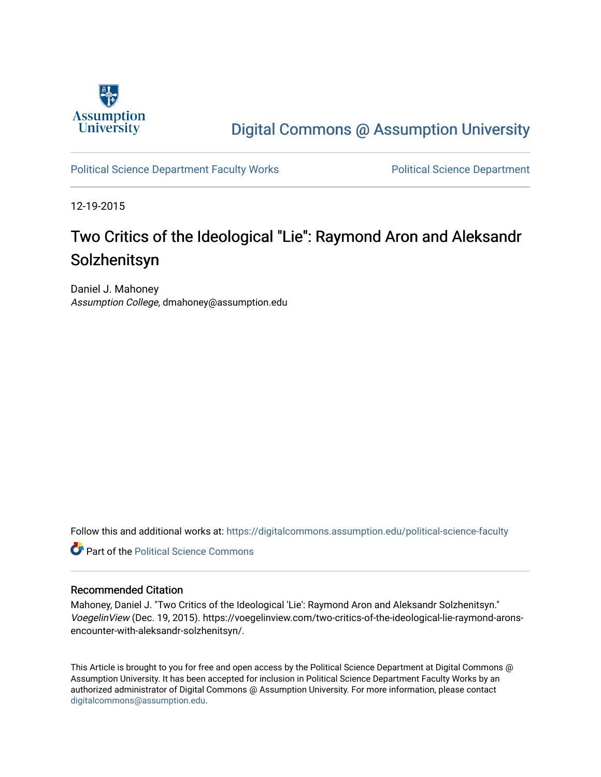

# [Digital Commons @ Assumption University](https://digitalcommons.assumption.edu/)

#### [Political Science Department Faculty Works](https://digitalcommons.assumption.edu/political-science-faculty) [Political Science Department](https://digitalcommons.assumption.edu/political-science)

12-19-2015

# Two Critics of the Ideological "Lie": Raymond Aron and Aleksandr Solzhenitsyn

Daniel J. Mahoney Assumption College, dmahoney@assumption.edu

Follow this and additional works at: [https://digitalcommons.assumption.edu/political-science-faculty](https://digitalcommons.assumption.edu/political-science-faculty?utm_source=digitalcommons.assumption.edu%2Fpolitical-science-faculty%2F30&utm_medium=PDF&utm_campaign=PDFCoverPages)

**C** Part of the Political Science Commons

#### Recommended Citation

Mahoney, Daniel J. "Two Critics of the Ideological 'Lie': Raymond Aron and Aleksandr Solzhenitsyn." VoegelinView (Dec. 19, 2015). https://voegelinview.com/two-critics-of-the-ideological-lie-raymond-aronsencounter-with-aleksandr-solzhenitsyn/.

This Article is brought to you for free and open access by the Political Science Department at Digital Commons @ Assumption University. It has been accepted for inclusion in Political Science Department Faculty Works by an authorized administrator of Digital Commons @ Assumption University. For more information, please contact [digitalcommons@assumption.edu](mailto:digitalcommons@assumption.edu).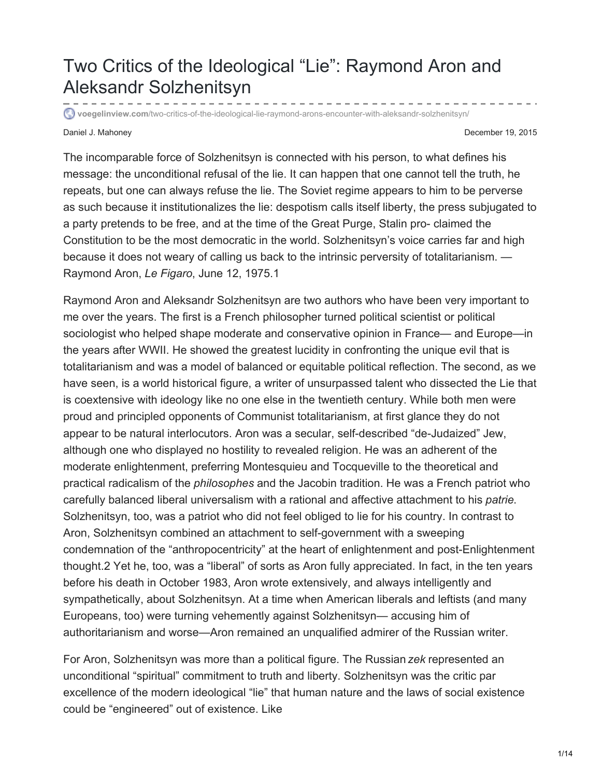# Two Critics of the Ideological "Lie": Raymond Aron and Aleksandr Solzhenitsyn

**voegelinview.com**[/two-critics-of-the-ideological-lie-raymond-arons-encounter-with-aleksandr-solzhenitsyn/](https://voegelinview.com/two-critics-of-the-ideological-lie-raymond-arons-encounter-with-aleksandr-solzhenitsyn/)

Daniel J. Mahoney December 19, 2015

The incomparable force of Solzhenitsyn is connected with his person, to what defines his message: the unconditional refusal of the lie. It can happen that one cannot tell the truth, he repeats, but one can always refuse the lie. The Soviet regime appears to him to be perverse as such because it institutionalizes the lie: despotism calls itself liberty, the press subjugated to a party pretends to be free, and at the time of the Great Purge, Stalin pro- claimed the Constitution to be the most democratic in the world. Solzhenitsyn's voice carries far and high because it does not weary of calling us back to the intrinsic perversity of totalitarianism. — Raymond Aron, *Le Figaro*, June 12, 1975.1

Raymond Aron and Aleksandr Solzhenitsyn are two authors who have been very important to me over the years. The first is a French philosopher turned political scientist or political sociologist who helped shape moderate and conservative opinion in France— and Europe—in the years after WWII. He showed the greatest lucidity in confronting the unique evil that is totalitarianism and was a model of balanced or equitable political reflection. The second, as we have seen, is a world historical figure, a writer of unsurpassed talent who dissected the Lie that is coextensive with ideology like no one else in the twentieth century. While both men were proud and principled opponents of Communist totalitarianism, at first glance they do not appear to be natural interlocutors. Aron was a secular, self-described "de-Judaized" Jew, although one who displayed no hostility to revealed religion. He was an adherent of the moderate enlightenment, preferring Montesquieu and Tocqueville to the theoretical and practical radicalism of the *philosophes* and the Jacobin tradition. He was a French patriot who carefully balanced liberal universalism with a rational and affective attachment to his *patrie*. Solzhenitsyn, too, was a patriot who did not feel obliged to lie for his country. In contrast to Aron, Solzhenitsyn combined an attachment to self-government with a sweeping condemnation of the "anthropocentricity" at the heart of enlightenment and post-Enlightenment thought.2 Yet he, too, was a "liberal" of sorts as Aron fully appreciated. In fact, in the ten years before his death in October 1983, Aron wrote extensively, and always intelligently and sympathetically, about Solzhenitsyn. At a time when American liberals and leftists (and many Europeans, too) were turning vehemently against Solzhenitsyn— accusing him of authoritarianism and worse—Aron remained an unqualified admirer of the Russian writer.

For Aron, Solzhenitsyn was more than a political figure. The Russian *zek* represented an unconditional "spiritual" commitment to truth and liberty. Solzhenitsyn was the critic par excellence of the modern ideological "lie" that human nature and the laws of social existence could be "engineered" out of existence. Like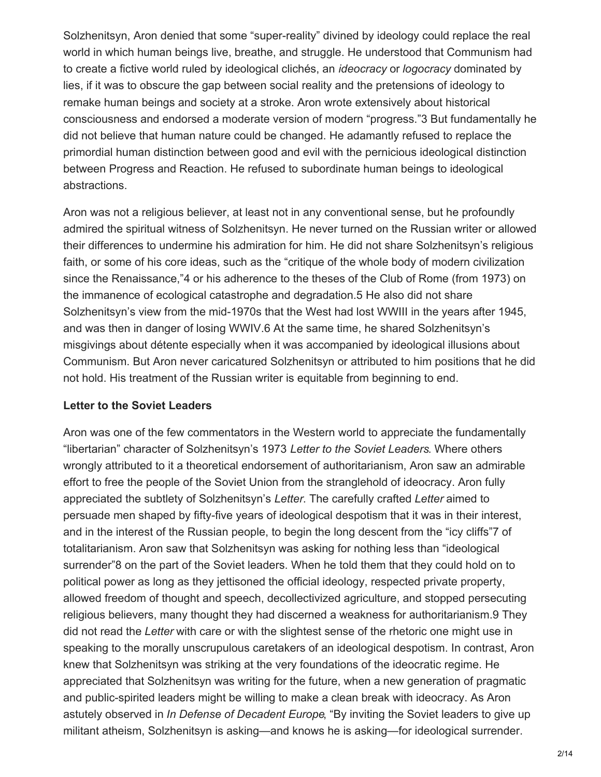Solzhenitsyn, Aron denied that some "super-reality" divined by ideology could replace the real world in which human beings live, breathe, and struggle. He understood that Communism had to create a fictive world ruled by ideological clichés, an *ideocracy* or *logocracy* dominated by lies, if it was to obscure the gap between social reality and the pretensions of ideology to remake human beings and society at a stroke. Aron wrote extensively about historical consciousness and endorsed a moderate version of modern "progress."3 But fundamentally he did not believe that human nature could be changed. He adamantly refused to replace the primordial human distinction between good and evil with the pernicious ideological distinction between Progress and Reaction. He refused to subordinate human beings to ideological abstractions.

Aron was not a religious believer, at least not in any conventional sense, but he profoundly admired the spiritual witness of Solzhenitsyn. He never turned on the Russian writer or allowed their differences to undermine his admiration for him. He did not share Solzhenitsyn's religious faith, or some of his core ideas, such as the "critique of the whole body of modern civilization since the Renaissance,"4 or his adherence to the theses of the Club of Rome (from 1973) on the immanence of ecological catastrophe and degradation.5 He also did not share Solzhenitsyn's view from the mid-1970s that the West had lost WWIII in the years after 1945, and was then in danger of losing WWIV.6 At the same time, he shared Solzhenitsyn's misgivings about détente especially when it was accompanied by ideological illusions about Communism. But Aron never caricatured Solzhenitsyn or attributed to him positions that he did not hold. His treatment of the Russian writer is equitable from beginning to end.

#### **Letter to the Soviet Leaders**

Aron was one of the few commentators in the Western world to appreciate the fundamentally "libertarian" character of Solzhenitsyn's 1973 *Letter to the Soviet Leaders*. Where others wrongly attributed to it a theoretical endorsement of authoritarianism, Aron saw an admirable effort to free the people of the Soviet Union from the stranglehold of ideocracy. Aron fully appreciated the subtlety of Solzhenitsyn's *Letter*. The carefully crafted *Letter* aimed to persuade men shaped by fifty-five years of ideological despotism that it was in their interest, and in the interest of the Russian people, to begin the long descent from the "icy cliffs"7 of totalitarianism. Aron saw that Solzhenitsyn was asking for nothing less than "ideological surrender"8 on the part of the Soviet leaders. When he told them that they could hold on to political power as long as they jettisoned the official ideology, respected private property, allowed freedom of thought and speech, decollectivized agriculture, and stopped persecuting religious believers, many thought they had discerned a weakness for authoritarianism.9 They did not read the *Letter* with care or with the slightest sense of the rhetoric one might use in speaking to the morally unscrupulous caretakers of an ideological despotism. In contrast, Aron knew that Solzhenitsyn was striking at the very foundations of the ideocratic regime. He appreciated that Solzhenitsyn was writing for the future, when a new generation of pragmatic and public-spirited leaders might be willing to make a clean break with ideocracy. As Aron astutely observed in *In Defense of Decadent Europe*, "By inviting the Soviet leaders to give up militant atheism, Solzhenitsyn is asking—and knows he is asking—for ideological surrender.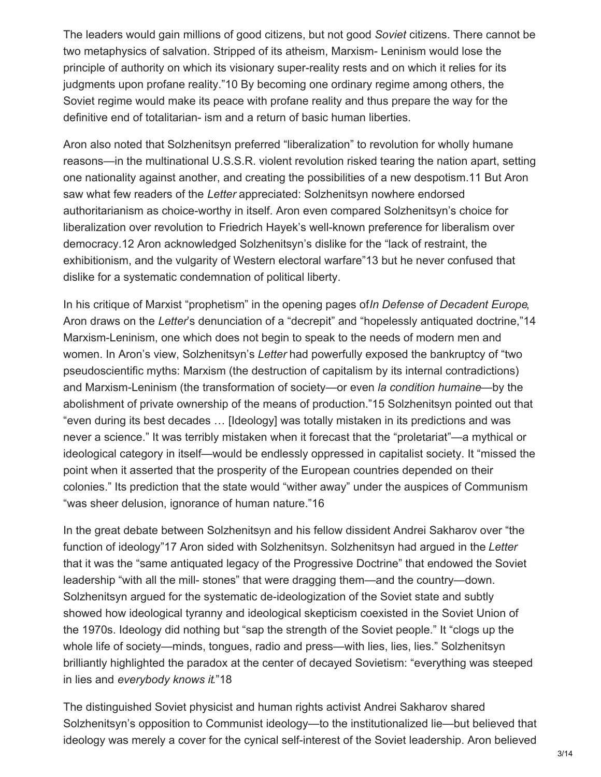The leaders would gain millions of good citizens, but not good *Soviet* citizens. There cannot be two metaphysics of salvation. Stripped of its atheism, Marxism- Leninism would lose the principle of authority on which its visionary super-reality rests and on which it relies for its judgments upon profane reality."10 By becoming one ordinary regime among others, the Soviet regime would make its peace with profane reality and thus prepare the way for the definitive end of totalitarian- ism and a return of basic human liberties.

Aron also noted that Solzhenitsyn preferred "liberalization" to revolution for wholly humane reasons—in the multinational U.S.S.R. violent revolution risked tearing the nation apart, setting one nationality against another, and creating the possibilities of a new despotism.11 But Aron saw what few readers of the *Letter* appreciated: Solzhenitsyn nowhere endorsed authoritarianism as choice-worthy in itself. Aron even compared Solzhenitsyn's choice for liberalization over revolution to Friedrich Hayek's well-known preference for liberalism over democracy.12 Aron acknowledged Solzhenitsyn's dislike for the "lack of restraint, the exhibitionism, and the vulgarity of Western electoral warfare"13 but he never confused that dislike for a systematic condemnation of political liberty.

In his critique of Marxist "prophetism" in the opening pages of*In Defense of Decadent Europe*, Aron draws on the *Letter*'s denunciation of a "decrepit" and "hopelessly antiquated doctrine,"14 Marxism-Leninism, one which does not begin to speak to the needs of modern men and women. In Aron's view, Solzhenitsyn's *Letter* had powerfully exposed the bankruptcy of "two pseudoscientific myths: Marxism (the destruction of capitalism by its internal contradictions) and Marxism-Leninism (the transformation of society—or even *la condition humaine*—by the abolishment of private ownership of the means of production."15 Solzhenitsyn pointed out that "even during its best decades … [Ideology] was totally mistaken in its predictions and was never a science." It was terribly mistaken when it forecast that the "proletariat"—a mythical or ideological category in itself—would be endlessly oppressed in capitalist society. It "missed the point when it asserted that the prosperity of the European countries depended on their colonies." Its prediction that the state would "wither away" under the auspices of Communism "was sheer delusion, ignorance of human nature."16

In the great debate between Solzhenitsyn and his fellow dissident Andrei Sakharov over "the function of ideology"17 Aron sided with Solzhenitsyn. Solzhenitsyn had argued in the *Letter* that it was the "same antiquated legacy of the Progressive Doctrine" that endowed the Soviet leadership "with all the mill- stones" that were dragging them—and the country—down. Solzhenitsyn argued for the systematic de-ideologization of the Soviet state and subtly showed how ideological tyranny and ideological skepticism coexisted in the Soviet Union of the 1970s. Ideology did nothing but "sap the strength of the Soviet people." It "clogs up the whole life of society—minds, tongues, radio and press—with lies, lies, lies." Solzhenitsyn brilliantly highlighted the paradox at the center of decayed Sovietism: "everything was steeped in lies and *everybody knows it*."18

The distinguished Soviet physicist and human rights activist Andrei Sakharov shared Solzhenitsyn's opposition to Communist ideology—to the institutionalized lie—but believed that ideology was merely a cover for the cynical self-interest of the Soviet leadership. Aron believed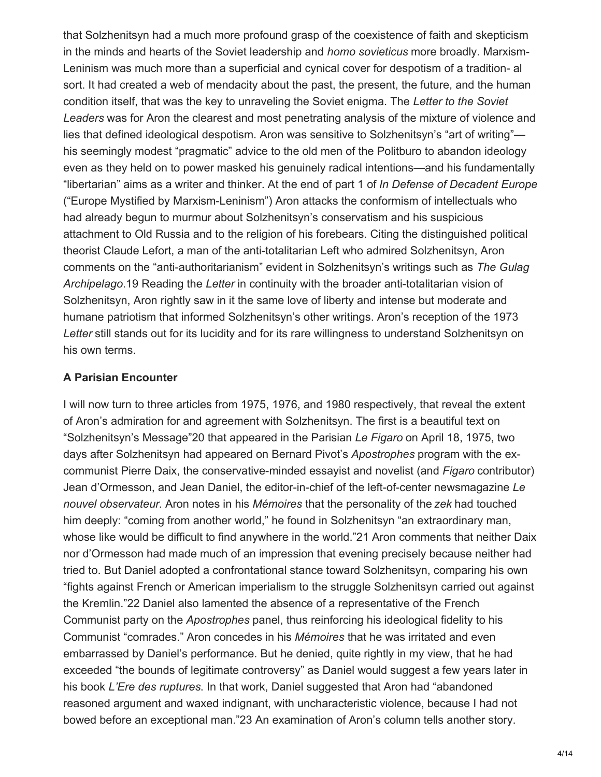that Solzhenitsyn had a much more profound grasp of the coexistence of faith and skepticism in the minds and hearts of the Soviet leadership and *homo sovieticus* more broadly. Marxism-Leninism was much more than a superficial and cynical cover for despotism of a tradition- al sort. It had created a web of mendacity about the past, the present, the future, and the human condition itself, that was the key to unraveling the Soviet enigma. The *Letter to the Soviet Leaders* was for Aron the clearest and most penetrating analysis of the mixture of violence and lies that defined ideological despotism. Aron was sensitive to Solzhenitsyn's "art of writing" his seemingly modest "pragmatic" advice to the old men of the Politburo to abandon ideology even as they held on to power masked his genuinely radical intentions—and his fundamentally "libertarian" aims as a writer and thinker. At the end of part 1 of *In Defense of Decadent Europe* ("Europe Mystified by Marxism-Leninism") Aron attacks the conformism of intellectuals who had already begun to murmur about Solzhenitsyn's conservatism and his suspicious attachment to Old Russia and to the religion of his forebears. Citing the distinguished political theorist Claude Lefort, a man of the anti-totalitarian Left who admired Solzhenitsyn, Aron comments on the "anti-authoritarianism" evident in Solzhenitsyn's writings such as *The Gulag Archipelago*.19 Reading the *Letter* in continuity with the broader anti-totalitarian vision of Solzhenitsyn, Aron rightly saw in it the same love of liberty and intense but moderate and humane patriotism that informed Solzhenitsyn's other writings. Aron's reception of the 1973 *Letter* still stands out for its lucidity and for its rare willingness to understand Solzhenitsyn on his own terms.

### **A Parisian Encounter**

I will now turn to three articles from 1975, 1976, and 1980 respectively, that reveal the extent of Aron's admiration for and agreement with Solzhenitsyn. The first is a beautiful text on "Solzhenitsyn's Message"20 that appeared in the Parisian *Le Figaro* on April 18, 1975, two days after Solzhenitsyn had appeared on Bernard Pivot's *Apostrophes* program with the excommunist Pierre Daix, the conservative-minded essayist and novelist (and *Figaro* contributor) Jean d'Ormesson, and Jean Daniel, the editor-in-chief of the left-of-center newsmagazine *Le nouvel observateur*. Aron notes in his *Mémoires* that the personality of the *zek* had touched him deeply: "coming from another world," he found in Solzhenitsyn "an extraordinary man, whose like would be difficult to find anywhere in the world."21 Aron comments that neither Daix nor d'Ormesson had made much of an impression that evening precisely because neither had tried to. But Daniel adopted a confrontational stance toward Solzhenitsyn, comparing his own "fights against French or American imperialism to the struggle Solzhenitsyn carried out against the Kremlin."22 Daniel also lamented the absence of a representative of the French Communist party on the *Apostrophes* panel, thus reinforcing his ideological fidelity to his Communist "comrades." Aron concedes in his *Mémoires* that he was irritated and even embarrassed by Daniel's performance. But he denied, quite rightly in my view, that he had exceeded "the bounds of legitimate controversy" as Daniel would suggest a few years later in his book *L'Ere des ruptures*. In that work, Daniel suggested that Aron had "abandoned reasoned argument and waxed indignant, with uncharacteristic violence, because I had not bowed before an exceptional man."23 An examination of Aron's column tells another story.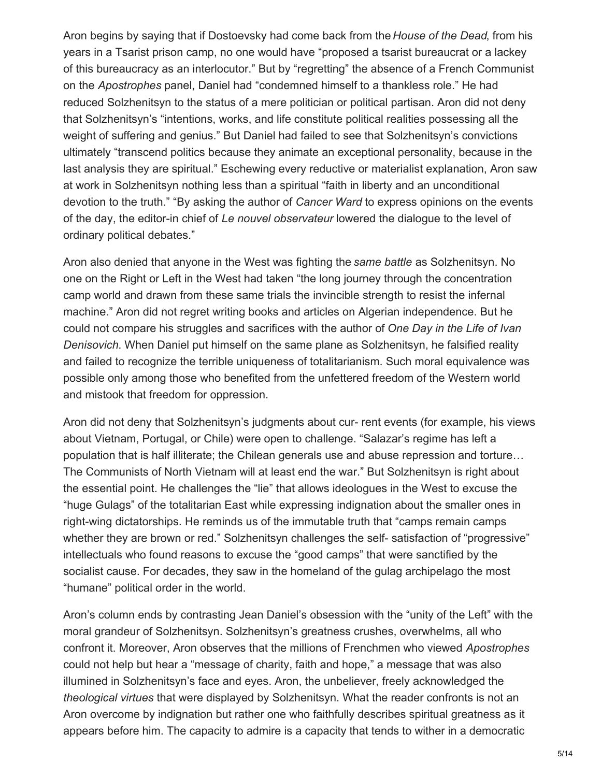Aron begins by saying that if Dostoevsky had come back from the *House of the Dead*, from his years in a Tsarist prison camp, no one would have "proposed a tsarist bureaucrat or a lackey of this bureaucracy as an interlocutor." But by "regretting" the absence of a French Communist on the *Apostrophes* panel, Daniel had "condemned himself to a thankless role." He had reduced Solzhenitsyn to the status of a mere politician or political partisan. Aron did not deny that Solzhenitsyn's "intentions, works, and life constitute political realities possessing all the weight of suffering and genius." But Daniel had failed to see that Solzhenitsyn's convictions ultimately "transcend politics because they animate an exceptional personality, because in the last analysis they are spiritual." Eschewing every reductive or materialist explanation, Aron saw at work in Solzhenitsyn nothing less than a spiritual "faith in liberty and an unconditional devotion to the truth." "By asking the author of *Cancer Ward* to express opinions on the events of the day, the editor-in chief of *Le nouvel observateur* lowered the dialogue to the level of ordinary political debates."

Aron also denied that anyone in the West was fighting the *same battle* as Solzhenitsyn. No one on the Right or Left in the West had taken "the long journey through the concentration camp world and drawn from these same trials the invincible strength to resist the infernal machine." Aron did not regret writing books and articles on Algerian independence. But he could not compare his struggles and sacrifices with the author of *One Day in the Life of Ivan Denisovich*. When Daniel put himself on the same plane as Solzhenitsyn, he falsified reality and failed to recognize the terrible uniqueness of totalitarianism. Such moral equivalence was possible only among those who benefited from the unfettered freedom of the Western world and mistook that freedom for oppression.

Aron did not deny that Solzhenitsyn's judgments about cur- rent events (for example, his views about Vietnam, Portugal, or Chile) were open to challenge. "Salazar's regime has left a population that is half illiterate; the Chilean generals use and abuse repression and torture… The Communists of North Vietnam will at least end the war." But Solzhenitsyn is right about the essential point. He challenges the "lie" that allows ideologues in the West to excuse the "huge Gulags" of the totalitarian East while expressing indignation about the smaller ones in right-wing dictatorships. He reminds us of the immutable truth that "camps remain camps whether they are brown or red." Solzhenitsyn challenges the self- satisfaction of "progressive" intellectuals who found reasons to excuse the "good camps" that were sanctified by the socialist cause. For decades, they saw in the homeland of the gulag archipelago the most "humane" political order in the world.

Aron's column ends by contrasting Jean Daniel's obsession with the "unity of the Left" with the moral grandeur of Solzhenitsyn. Solzhenitsyn's greatness crushes, overwhelms, all who confront it. Moreover, Aron observes that the millions of Frenchmen who viewed *Apostrophes* could not help but hear a "message of charity, faith and hope," a message that was also illumined in Solzhenitsyn's face and eyes. Aron, the unbeliever, freely acknowledged the *theological virtues* that were displayed by Solzhenitsyn. What the reader confronts is not an Aron overcome by indignation but rather one who faithfully describes spiritual greatness as it appears before him. The capacity to admire is a capacity that tends to wither in a democratic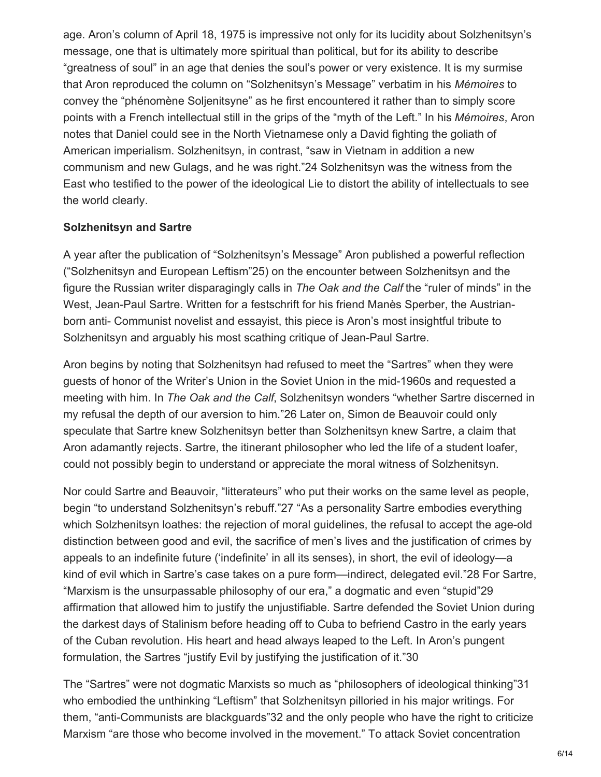age. Aron's column of April 18, 1975 is impressive not only for its lucidity about Solzhenitsyn's message, one that is ultimately more spiritual than political, but for its ability to describe "greatness of soul" in an age that denies the soul's power or very existence. It is my surmise that Aron reproduced the column on "Solzhenitsyn's Message" verbatim in his *Mémoires* to convey the "phénomène Soljenitsyne" as he first encountered it rather than to simply score points with a French intellectual still in the grips of the "myth of the Left." In his *Mémoires*, Aron notes that Daniel could see in the North Vietnamese only a David fighting the goliath of American imperialism. Solzhenitsyn, in contrast, "saw in Vietnam in addition a new communism and new Gulags, and he was right."24 Solzhenitsyn was the witness from the East who testified to the power of the ideological Lie to distort the ability of intellectuals to see the world clearly.

## **Solzhenitsyn and Sartre**

A year after the publication of "Solzhenitsyn's Message" Aron published a powerful reflection ("Solzhenitsyn and European Leftism"25) on the encounter between Solzhenitsyn and the figure the Russian writer disparagingly calls in *The Oak and the Calf* the "ruler of minds" in the West, Jean-Paul Sartre. Written for a festschrift for his friend Manès Sperber, the Austrianborn anti- Communist novelist and essayist, this piece is Aron's most insightful tribute to Solzhenitsyn and arguably his most scathing critique of Jean-Paul Sartre.

Aron begins by noting that Solzhenitsyn had refused to meet the "Sartres" when they were guests of honor of the Writer's Union in the Soviet Union in the mid-1960s and requested a meeting with him. In *The Oak and the Calf*, Solzhenitsyn wonders "whether Sartre discerned in my refusal the depth of our aversion to him."26 Later on, Simon de Beauvoir could only speculate that Sartre knew Solzhenitsyn better than Solzhenitsyn knew Sartre, a claim that Aron adamantly rejects. Sartre, the itinerant philosopher who led the life of a student loafer, could not possibly begin to understand or appreciate the moral witness of Solzhenitsyn.

Nor could Sartre and Beauvoir, "litterateurs" who put their works on the same level as people, begin "to understand Solzhenitsyn's rebuff."27 "As a personality Sartre embodies everything which Solzhenitsyn loathes: the rejection of moral guidelines, the refusal to accept the age-old distinction between good and evil, the sacrifice of men's lives and the justification of crimes by appeals to an indefinite future ('indefinite' in all its senses), in short, the evil of ideology—a kind of evil which in Sartre's case takes on a pure form—indirect, delegated evil."28 For Sartre, "Marxism is the unsurpassable philosophy of our era," a dogmatic and even "stupid"29 affirmation that allowed him to justify the unjustifiable. Sartre defended the Soviet Union during the darkest days of Stalinism before heading off to Cuba to befriend Castro in the early years of the Cuban revolution. His heart and head always leaped to the Left. In Aron's pungent formulation, the Sartres "justify Evil by justifying the justification of it."30

The "Sartres" were not dogmatic Marxists so much as "philosophers of ideological thinking"31 who embodied the unthinking "Leftism" that Solzhenitsyn pilloried in his major writings. For them, "anti-Communists are blackguards"32 and the only people who have the right to criticize Marxism "are those who become involved in the movement." To attack Soviet concentration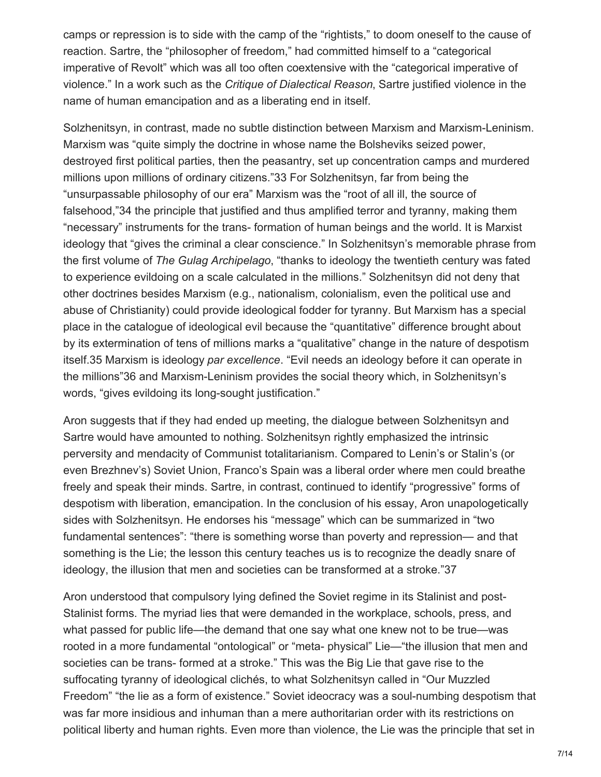camps or repression is to side with the camp of the "rightists," to doom oneself to the cause of reaction. Sartre, the "philosopher of freedom," had committed himself to a "categorical imperative of Revolt" which was all too often coextensive with the "categorical imperative of violence." In a work such as the *Critique of Dialectical Reason*, Sartre justified violence in the name of human emancipation and as a liberating end in itself.

Solzhenitsyn, in contrast, made no subtle distinction between Marxism and Marxism-Leninism. Marxism was "quite simply the doctrine in whose name the Bolsheviks seized power, destroyed first political parties, then the peasantry, set up concentration camps and murdered millions upon millions of ordinary citizens."33 For Solzhenitsyn, far from being the "unsurpassable philosophy of our era" Marxism was the "root of all ill, the source of falsehood,"34 the principle that justified and thus amplified terror and tyranny, making them "necessary" instruments for the trans- formation of human beings and the world. It is Marxist ideology that "gives the criminal a clear conscience." In Solzhenitsyn's memorable phrase from the first volume of *The Gulag Archipelago*, "thanks to ideology the twentieth century was fated to experience evildoing on a scale calculated in the millions." Solzhenitsyn did not deny that other doctrines besides Marxism (e.g., nationalism, colonialism, even the political use and abuse of Christianity) could provide ideological fodder for tyranny. But Marxism has a special place in the catalogue of ideological evil because the "quantitative" difference brought about by its extermination of tens of millions marks a "qualitative" change in the nature of despotism itself.35 Marxism is ideology *par excellence*. "Evil needs an ideology before it can operate in the millions"36 and Marxism-Leninism provides the social theory which, in Solzhenitsyn's words, "gives evildoing its long-sought justification."

Aron suggests that if they had ended up meeting, the dialogue between Solzhenitsyn and Sartre would have amounted to nothing. Solzhenitsyn rightly emphasized the intrinsic perversity and mendacity of Communist totalitarianism. Compared to Lenin's or Stalin's (or even Brezhnev's) Soviet Union, Franco's Spain was a liberal order where men could breathe freely and speak their minds. Sartre, in contrast, continued to identify "progressive" forms of despotism with liberation, emancipation. In the conclusion of his essay, Aron unapologetically sides with Solzhenitsyn. He endorses his "message" which can be summarized in "two fundamental sentences": "there is something worse than poverty and repression— and that something is the Lie; the lesson this century teaches us is to recognize the deadly snare of ideology, the illusion that men and societies can be transformed at a stroke."37

Aron understood that compulsory lying defined the Soviet regime in its Stalinist and post-Stalinist forms. The myriad lies that were demanded in the workplace, schools, press, and what passed for public life—the demand that one say what one knew not to be true—was rooted in a more fundamental "ontological" or "meta- physical" Lie—"the illusion that men and societies can be trans- formed at a stroke." This was the Big Lie that gave rise to the suffocating tyranny of ideological clichés, to what Solzhenitsyn called in "Our Muzzled Freedom" "the lie as a form of existence." Soviet ideocracy was a soul-numbing despotism that was far more insidious and inhuman than a mere authoritarian order with its restrictions on political liberty and human rights. Even more than violence, the Lie was the principle that set in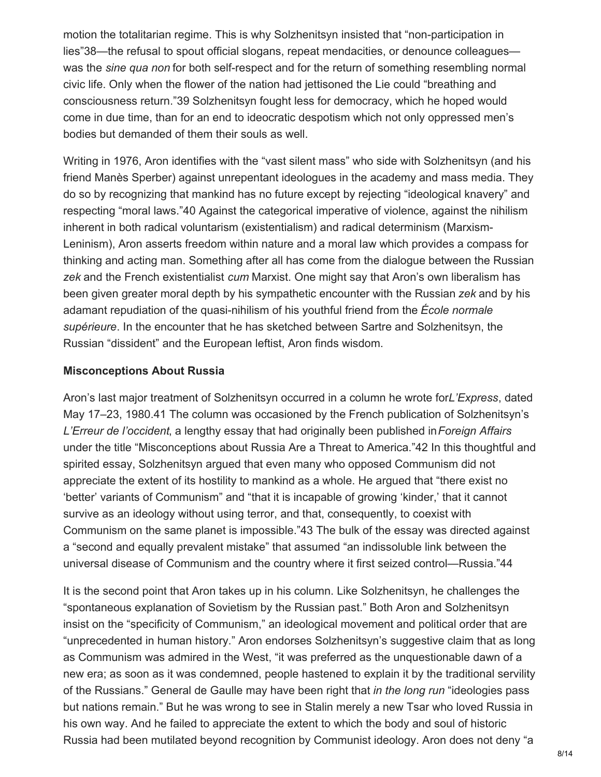motion the totalitarian regime. This is why Solzhenitsyn insisted that "non-participation in lies"38—the refusal to spout official slogans, repeat mendacities, or denounce colleagues was the *sine qua non* for both self-respect and for the return of something resembling normal civic life. Only when the flower of the nation had jettisoned the Lie could "breathing and consciousness return."39 Solzhenitsyn fought less for democracy, which he hoped would come in due time, than for an end to ideocratic despotism which not only oppressed men's bodies but demanded of them their souls as well.

Writing in 1976, Aron identifies with the "vast silent mass" who side with Solzhenitsyn (and his friend Manès Sperber) against unrepentant ideologues in the academy and mass media. They do so by recognizing that mankind has no future except by rejecting "ideological knavery" and respecting "moral laws."40 Against the categorical imperative of violence, against the nihilism inherent in both radical voluntarism (existentialism) and radical determinism (Marxism-Leninism), Aron asserts freedom within nature and a moral law which provides a compass for thinking and acting man. Something after all has come from the dialogue between the Russian *zek* and the French existentialist *cum* Marxist. One might say that Aron's own liberalism has been given greater moral depth by his sympathetic encounter with the Russian *zek* and by his adamant repudiation of the quasi-nihilism of his youthful friend from the *École normale supérieure*. In the encounter that he has sketched between Sartre and Solzhenitsyn, the Russian "dissident" and the European leftist, Aron finds wisdom.

### **Misconceptions About Russia**

Aron's last major treatment of Solzhenitsyn occurred in a column he wrote for*L'Express*, dated May 17–23, 1980.41 The column was occasioned by the French publication of Solzhenitsyn's *L'Erreur de l'occident*, a lengthy essay that had originally been published in*Foreign Affairs* under the title "Misconceptions about Russia Are a Threat to America."42 In this thoughtful and spirited essay, Solzhenitsyn argued that even many who opposed Communism did not appreciate the extent of its hostility to mankind as a whole. He argued that "there exist no 'better' variants of Communism" and "that it is incapable of growing 'kinder,' that it cannot survive as an ideology without using terror, and that, consequently, to coexist with Communism on the same planet is impossible."43 The bulk of the essay was directed against a "second and equally prevalent mistake" that assumed "an indissoluble link between the universal disease of Communism and the country where it first seized control—Russia."44

It is the second point that Aron takes up in his column. Like Solzhenitsyn, he challenges the "spontaneous explanation of Sovietism by the Russian past." Both Aron and Solzhenitsyn insist on the "specificity of Communism," an ideological movement and political order that are "unprecedented in human history." Aron endorses Solzhenitsyn's suggestive claim that as long as Communism was admired in the West, "it was preferred as the unquestionable dawn of a new era; as soon as it was condemned, people hastened to explain it by the traditional servility of the Russians." General de Gaulle may have been right that *in the long run* "ideologies pass but nations remain." But he was wrong to see in Stalin merely a new Tsar who loved Russia in his own way. And he failed to appreciate the extent to which the body and soul of historic Russia had been mutilated beyond recognition by Communist ideology. Aron does not deny "a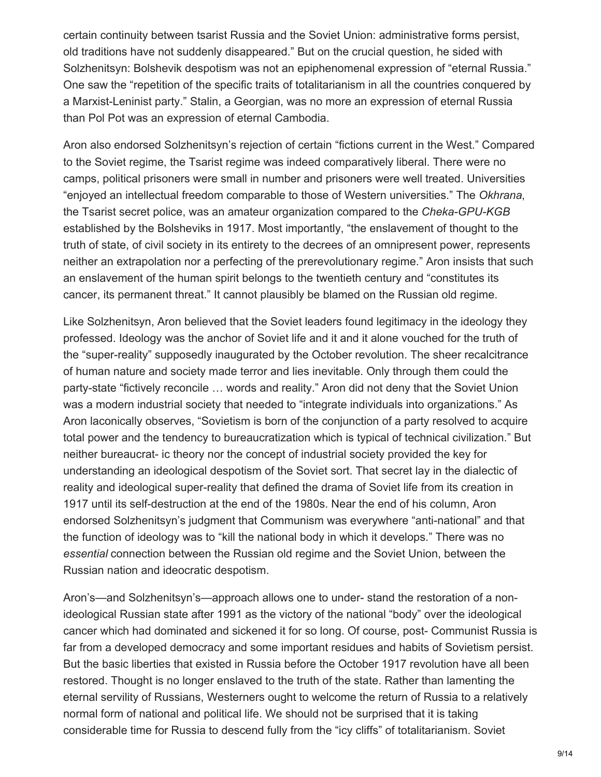certain continuity between tsarist Russia and the Soviet Union: administrative forms persist, old traditions have not suddenly disappeared." But on the crucial question, he sided with Solzhenitsyn: Bolshevik despotism was not an epiphenomenal expression of "eternal Russia." One saw the "repetition of the specific traits of totalitarianism in all the countries conquered by a Marxist-Leninist party." Stalin, a Georgian, was no more an expression of eternal Russia than Pol Pot was an expression of eternal Cambodia.

Aron also endorsed Solzhenitsyn's rejection of certain "fictions current in the West." Compared to the Soviet regime, the Tsarist regime was indeed comparatively liberal. There were no camps, political prisoners were small in number and prisoners were well treated. Universities "enjoyed an intellectual freedom comparable to those of Western universities." The *Okhrana*, the Tsarist secret police, was an amateur organization compared to the *Cheka-GPU-KGB* established by the Bolsheviks in 1917. Most importantly, "the enslavement of thought to the truth of state, of civil society in its entirety to the decrees of an omnipresent power, represents neither an extrapolation nor a perfecting of the prerevolutionary regime." Aron insists that such an enslavement of the human spirit belongs to the twentieth century and "constitutes its cancer, its permanent threat." It cannot plausibly be blamed on the Russian old regime.

Like Solzhenitsyn, Aron believed that the Soviet leaders found legitimacy in the ideology they professed. Ideology was the anchor of Soviet life and it and it alone vouched for the truth of the "super-reality" supposedly inaugurated by the October revolution. The sheer recalcitrance of human nature and society made terror and lies inevitable. Only through them could the party-state "fictively reconcile … words and reality." Aron did not deny that the Soviet Union was a modern industrial society that needed to "integrate individuals into organizations." As Aron laconically observes, "Sovietism is born of the conjunction of a party resolved to acquire total power and the tendency to bureaucratization which is typical of technical civilization." But neither bureaucrat- ic theory nor the concept of industrial society provided the key for understanding an ideological despotism of the Soviet sort. That secret lay in the dialectic of reality and ideological super-reality that defined the drama of Soviet life from its creation in 1917 until its self-destruction at the end of the 1980s. Near the end of his column, Aron endorsed Solzhenitsyn's judgment that Communism was everywhere "anti-national" and that the function of ideology was to "kill the national body in which it develops." There was no *essential* connection between the Russian old regime and the Soviet Union, between the Russian nation and ideocratic despotism.

Aron's—and Solzhenitsyn's—approach allows one to under- stand the restoration of a nonideological Russian state after 1991 as the victory of the national "body" over the ideological cancer which had dominated and sickened it for so long. Of course, post- Communist Russia is far from a developed democracy and some important residues and habits of Sovietism persist. But the basic liberties that existed in Russia before the October 1917 revolution have all been restored. Thought is no longer enslaved to the truth of the state. Rather than lamenting the eternal servility of Russians, Westerners ought to welcome the return of Russia to a relatively normal form of national and political life. We should not be surprised that it is taking considerable time for Russia to descend fully from the "icy cliffs" of totalitarianism. Soviet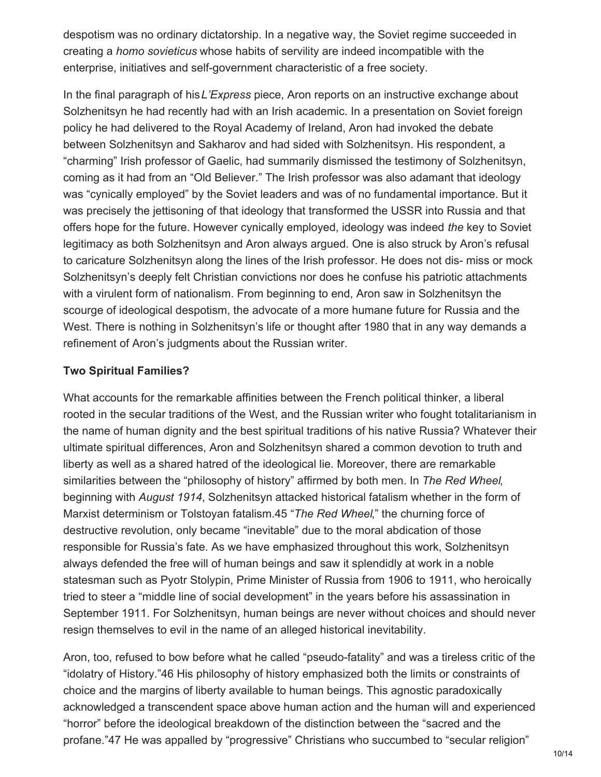despotism was no ordinary dictatorship. In a negative way, the Soviet regime succeeded in creating a *homo sovieticus* whose habits of servility are indeed incompatible with the enterprise, initiatives and self-government characteristic of a free society.

In the final paragraph of his*L'Express* piece, Aron reports on an instructive exchange about Solzhenitsyn he had recently had with an Irish academic. In a presentation on Soviet foreign policy he had delivered to the Royal Academy of Ireland, Aron had invoked the debate between Solzhenitsyn and Sakharov and had sided with Solzhenitsyn. His respondent, a "charming" Irish professor of Gaelic, had summarily dismissed the testimony of Solzhenitsyn, coming as it had from an "Old Believer." The Irish professor was also adamant that ideology was "cynically employed" by the Soviet leaders and was of no fundamental importance. But it was precisely the jettisoning of that ideology that transformed the USSR into Russia and that offers hope for the future. However cynically employed, ideology was indeed *the* key to Soviet legitimacy as both Solzhenitsyn and Aron always argued. One is also struck by Aron's refusal to caricature Solzhenitsyn along the lines of the Irish professor. He does not dis- miss or mock Solzhenitsyn's deeply felt Christian convictions nor does he confuse his patriotic attachments with a virulent form of nationalism. From beginning to end, Aron saw in Solzhenitsyn the scourge of ideological despotism, the advocate of a more humane future for Russia and the West. There is nothing in Solzhenitsyn's life or thought after 1980 that in any way demands a refinement of Aron's judgments about the Russian writer.

## **Two Spiritual Families?**

What accounts for the remarkable affinities between the French political thinker, a liberal rooted in the secular traditions of the West, and the Russian writer who fought totalitarianism in the name of human dignity and the best spiritual traditions of his native Russia? Whatever their ultimate spiritual differences, Aron and Solzhenitsyn shared a common devotion to truth and liberty as well as a shared hatred of the ideological lie. Moreover, there are remarkable similarities between the "philosophy of history" affirmed by both men. In *The Red Wheel*, beginning with *August 1914*, Solzhenitsyn attacked historical fatalism whether in the form of Marxist determinism or Tolstoyan fatalism.45 "*The Red Wheel*," the churning force of destructive revolution, only became "inevitable" due to the moral abdication of those responsible for Russia's fate. As we have emphasized throughout this work, Solzhenitsyn always defended the free will of human beings and saw it splendidly at work in a noble statesman such as Pyotr Stolypin, Prime Minister of Russia from 1906 to 1911, who heroically tried to steer a "middle line of social development" in the years before his assassination in September 1911. For Solzhenitsyn, human beings are never without choices and should never resign themselves to evil in the name of an alleged historical inevitability.

Aron, too, refused to bow before what he called "pseudo-fatality" and was a tireless critic of the "idolatry of History."46 His philosophy of history emphasized both the limits or constraints of choice and the margins of liberty available to human beings. This agnostic paradoxically acknowledged a transcendent space above human action and the human will and experienced "horror" before the ideological breakdown of the distinction between the "sacred and the profane."47 He was appalled by "progressive" Christians who succumbed to "secular religion"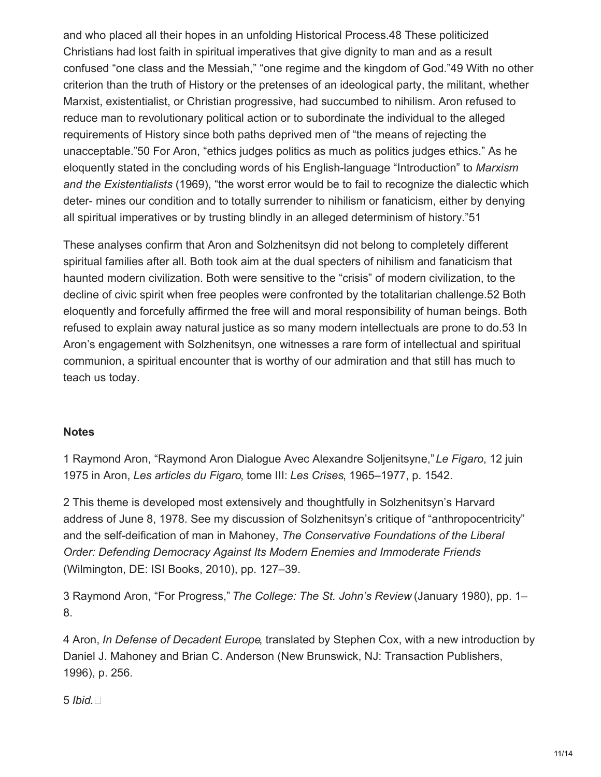and who placed all their hopes in an unfolding Historical Process.48 These politicized Christians had lost faith in spiritual imperatives that give dignity to man and as a result confused "one class and the Messiah," "one regime and the kingdom of God."49 With no other criterion than the truth of History or the pretenses of an ideological party, the militant, whether Marxist, existentialist, or Christian progressive, had succumbed to nihilism. Aron refused to reduce man to revolutionary political action or to subordinate the individual to the alleged requirements of History since both paths deprived men of "the means of rejecting the unacceptable."50 For Aron, "ethics judges politics as much as politics judges ethics." As he eloquently stated in the concluding words of his English-language "Introduction" to *Marxism and the Existentialists* (1969), "the worst error would be to fail to recognize the dialectic which deter- mines our condition and to totally surrender to nihilism or fanaticism, either by denying all spiritual imperatives or by trusting blindly in an alleged determinism of history."51

These analyses confirm that Aron and Solzhenitsyn did not belong to completely different spiritual families after all. Both took aim at the dual specters of nihilism and fanaticism that haunted modern civilization. Both were sensitive to the "crisis" of modern civilization, to the decline of civic spirit when free peoples were confronted by the totalitarian challenge.52 Both eloquently and forcefully affirmed the free will and moral responsibility of human beings. Both refused to explain away natural justice as so many modern intellectuals are prone to do.53 In Aron's engagement with Solzhenitsyn, one witnesses a rare form of intellectual and spiritual communion, a spiritual encounter that is worthy of our admiration and that still has much to teach us today.

## **Notes**

1 Raymond Aron, "Raymond Aron Dialogue Avec Alexandre Soljenitsyne,"*Le Figaro*, 12 juin 1975 in Aron, *Les articles du Figaro*, tome III: *Les Crises*, 1965–1977, p. 1542.

2 This theme is developed most extensively and thoughtfully in Solzhenitsyn's Harvard address of June 8, 1978. See my discussion of Solzhenitsyn's critique of "anthropocentricity" and the self-deification of man in Mahoney, *The Conservative Foundations of the Liberal Order: Defending Democracy Against Its Modern Enemies and Immoderate Friends* (Wilmington, DE: ISI Books, 2010), pp. 127–39.

3 Raymond Aron, "For Progress," *The College: The St. John's Review* (January 1980), pp. 1– 8.

4 Aron, *In Defense of Decadent Europe*, translated by Stephen Cox, with a new introduction by Daniel J. Mahoney and Brian C. Anderson (New Brunswick, NJ: Transaction Publishers, 1996), p. 256.

5 *Ibid.*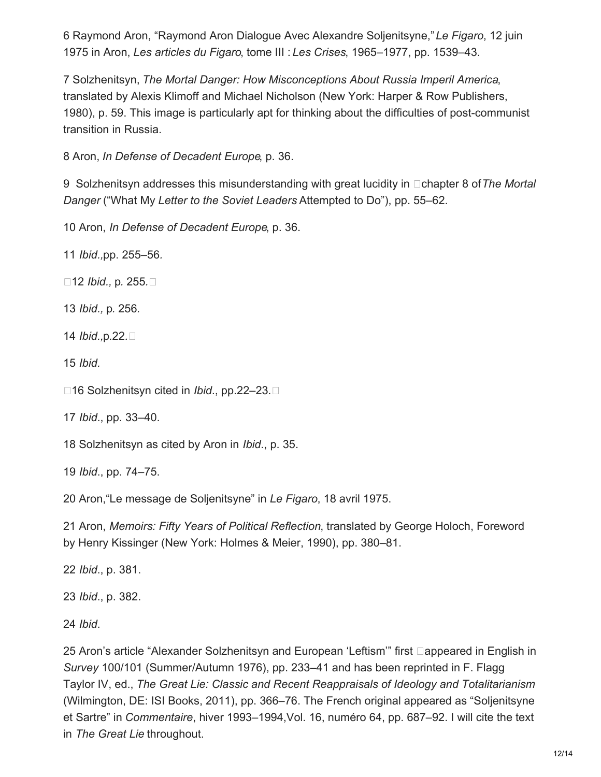6 Raymond Aron, "Raymond Aron Dialogue Avec Alexandre Soljenitsyne,"*Le Figaro*, 12 juin 1975 in Aron, *Les articles du Figaro*, tome III : *Les Crises*, 1965–1977, pp. 1539–43.

7 Solzhenitsyn, *The Mortal Danger: How Misconceptions About Russia Imperil America*, translated by Alexis Klimoff and Michael Nicholson (New York: Harper & Row Publishers, 1980), p. 59. This image is particularly apt for thinking about the difficulties of post-communist transition in Russia.

8 Aron, *In Defense of Decadent Europe*, p. 36.

9 Solzhenitsyn addresses this misunderstanding with great lucidity in  $\Box$ chapter 8 of *The Mortal Danger* ("What My *Letter to the Soviet Leaders* Attempted to Do"), pp. 55–62.

10 Aron, *In Defense of Decadent Europe*, p. 36.

11 *Ibid.,*pp. 255–56*.*

12 *Ibid.,* p*.* 255*.*

13 *Ibid.,* p*.* 256*.*

14 *Ibid.,*p*.*22*.*

15 *Ibid.*

16 Solzhenitsyn cited in *Ibid*., pp.22–23*.*

17 *Ibid*., pp. 33–40.

18 Solzhenitsyn as cited by Aron in *Ibid*., p. 35.

19 *Ibid*., pp. 74–75.

20 Aron,"Le message de Soljenitsyne" in *Le Figaro*, 18 avril 1975.

21 Aron, *Memoirs: Fifty Years of Political Reflection*, translated by George Holoch, Foreword by Henry Kissinger (New York: Holmes & Meier, 1990), pp. 380–81.

22 *Ibid*., p. 381.

23 *Ibid*., p. 382.

24 *Ibid*.

25 Aron's article "Alexander Solzhenitsyn and European 'Leftism'" first **appeared in English in** *Survey* 100/101 (Summer/Autumn 1976), pp. 233–41 and has been reprinted in F. Flagg Taylor IV, ed., *The Great Lie: Classic and Recent Reappraisals of Ideology and Totalitarianism* (Wilmington, DE: ISI Books, 2011), pp. 366–76. The French original appeared as "Soljenitsyne et Sartre" in *Commentaire*, hiver 1993–1994,Vol. 16, numéro 64, pp. 687–92. I will cite the text in *The Great Lie* throughout.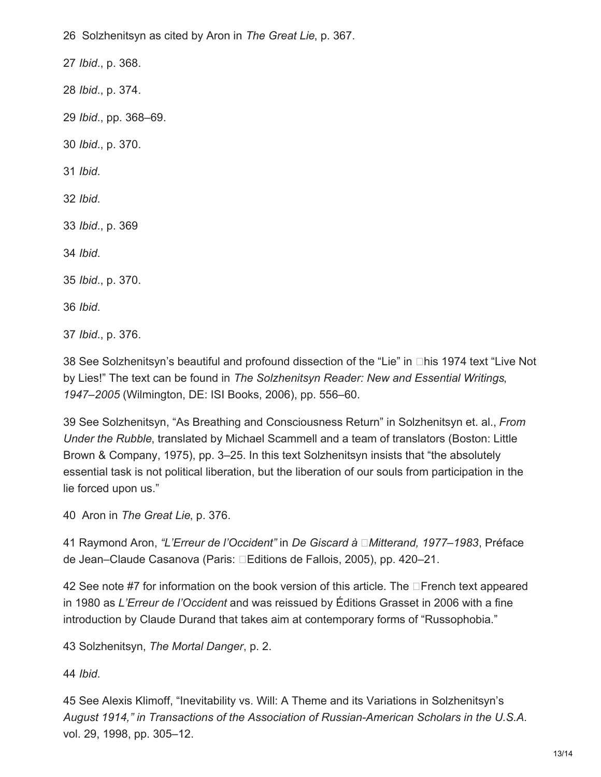26 Solzhenitsyn as cited by Aron in *The Great Lie*, p. 367.

27 *Ibid*., p. 368.

28 *Ibid*., p. 374.

29 *Ibid*., pp. 368–69.

30 *Ibid*., p. 370.

31 *Ibid*.

32 *Ibid*.

33 *Ibid*., p. 369

34 *Ibid*.

35 *Ibid*., p. 370.

36 *Ibid*.

37 *Ibid*., p. 376.

38 See Solzhenitsyn's beautiful and profound dissection of the "Lie" in  $\Box$ his 1974 text "Live Not by Lies!" The text can be found in *The Solzhenitsyn Reader: New and Essential Writings*, *1947–2005* (Wilmington, DE: ISI Books, 2006), pp. 556–60.

39 See Solzhenitsyn, "As Breathing and Consciousness Return" in Solzhenitsyn et. al., *From Under the Rubble*, translated by Michael Scammell and a team of translators (Boston: Little Brown & Company, 1975), pp. 3–25. In this text Solzhenitsyn insists that "the absolutely essential task is not political liberation, but the liberation of our souls from participation in the lie forced upon us."

40 Aron in *The Great Lie*, p. 376.

41 Raymond Aron, *"L'Erreur de l'Occident"* in *De Giscard à Mitterand, 1977–1983*, Préface de Jean–Claude Casanova (Paris: Editions de Fallois, 2005), pp. 420–21.

42 See note #7 for information on the book version of this article. The **French text appeared** in 1980 as *L'Erreur de l'Occident* and was reissued by Éditions Grasset in 2006 with a fine introduction by Claude Durand that takes aim at contemporary forms of "Russophobia."

43 Solzhenitsyn, *The Mortal Danger*, p. 2.

44 *Ibid*.

45 See Alexis Klimoff, "Inevitability vs. Will: A Theme and its Variations in Solzhenitsyn's *August 1914," in Transactions of the Association of Russian-American Scholars in the U.S.A.* vol. 29, 1998, pp. 305–12.